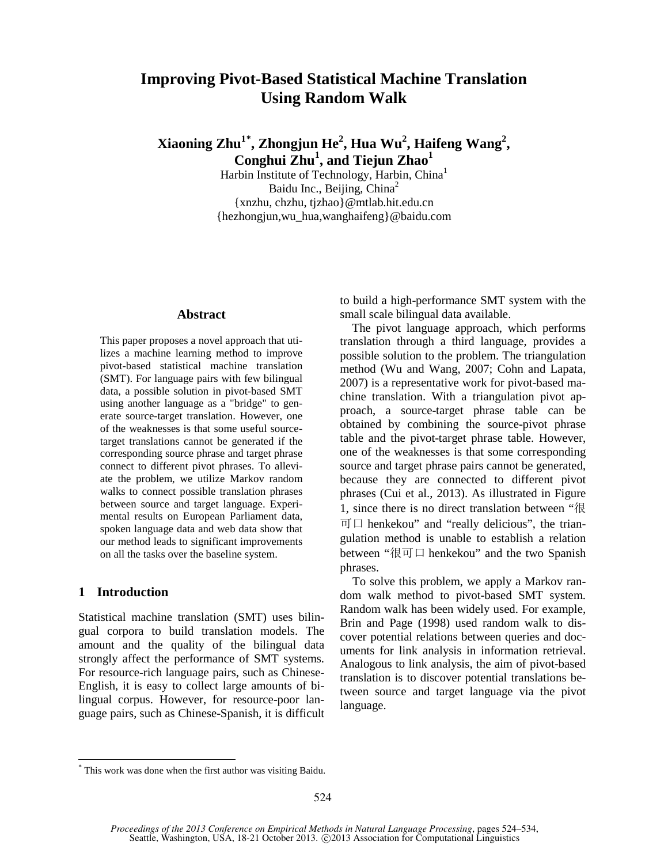# **Improving Pivot-Based Statistical Machine Translation Using Random Walk**

**Xiaoning Zhu1\* , Zhongjun He<sup>2</sup> , Hua Wu<sup>2</sup> , Haifeng Wang<sup>2</sup> , Conghui Zhu<sup>1</sup> , and Tiejun Zhao<sup>1</sup>**

Harbin Institute of Technology, Harbin, China1 Baidu Inc., Beijing, China<sup>2</sup> {xnzhu, chzhu, tjzhao}@mtlab.hit.edu.cn {hezhongjun,wu\_hua,wanghaifeng}@baidu.com

## **Abstract**

This paper proposes a novel approach that utilizes a machine learning method to improve pivot-based statistical machine translation (SMT). For language pairs with few bilingual data, a possible solution in pivot-based SMT using another language as a "bridge" to generate source-target translation. However, one of the weaknesses is that some useful sourcetarget translations cannot be generated if the corresponding source phrase and target phrase connect to different pivot phrases. To alleviate the problem, we utilize Markov random walks to connect possible translation phrases between source and target language. Experimental results on European Parliament data, spoken language data and web data show that our method leads to significant improvements on all the tasks over the baseline system.

#### **1 Introduction**

Statistical machine translation (SMT) uses bilingual corpora to build translation models. The amount and the quality of the bilingual data strongly affect the performance of SMT systems. For resource-rich language pairs, such as Chinese-English, it is easy to collect large amounts of bilingual corpus. However, for resource-poor language pairs, such as Chinese-Spanish, it is difficult

to build a high-performance SMT system with the small scale bilingual data available.

The pivot language approach, which performs translation through a third language, provides a possible solution to the problem. The triangulation method (Wu and Wang, 2007; Cohn and Lapata, 2007) is a representative work for pivot-based machine translation. With a triangulation pivot approach, a source-target phrase table can be obtained by combining the source-pivot phrase table and the pivot-target phrase table. However, one of the weaknesses is that some corresponding source and target phrase pairs cannot be generated, because they are connected to different pivot phrases (Cui et al., 2013). As illustrated in Figure 1, since there is no direct translation between "很  $\overline{p}$   $\Box$  henkekou" and "really delicious", the triangulation method is unable to establish a relation between "很可口 henkekou" and the two Spanish phrases.

To solve this problem, we apply a Markov random walk method to pivot-based SMT system. Random walk has been widely used. For example, Brin and Page (1998) used random walk to discover potential relations between queries and documents for link analysis in information retrieval. Analogous to link analysis, the aim of pivot-based translation is to discover potential translations between source and target language via the pivot language.

This work was done when the first author was visiting Baidu.

*Proceedings of the 2013 Conference on Empirical Methods in Natural Language Processing*, pages 524–534, Seattle, Washington, USA, 18-21 October 2013. ©2013 Association for Computational Linguistics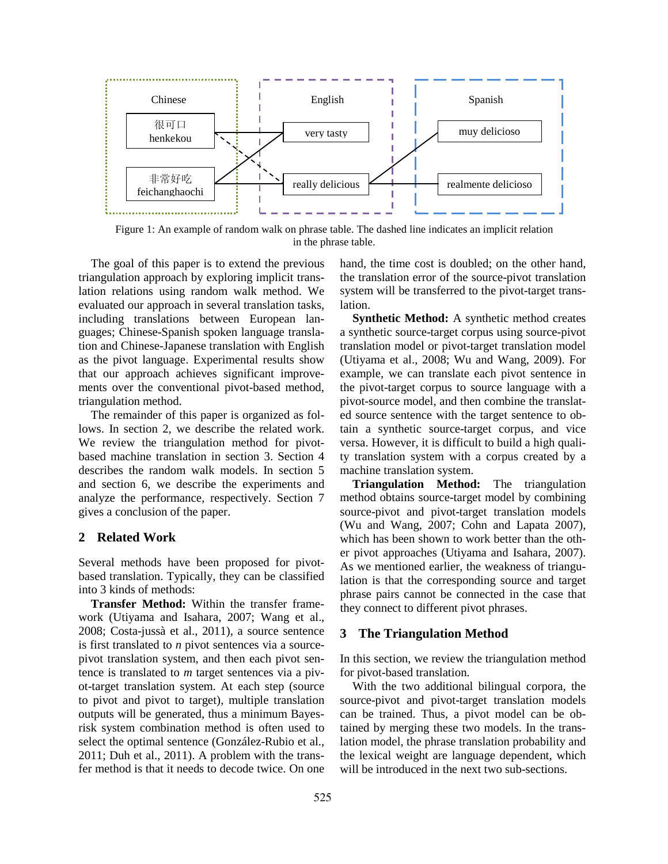

Figure 1: An example of random walk on phrase table. The dashed line indicates an implicit relation in the phrase table.

The goal of this paper is to extend the previous triangulation approach by exploring implicit translation relations using random walk method. We evaluated our approach in several translation tasks, including translations between European languages; Chinese-Spanish spoken language translation and Chinese-Japanese translation with English as the pivot language. Experimental results show that our approach achieves significant improvements over the conventional pivot-based method, triangulation method.

The remainder of this paper is organized as follows. In section 2, we describe the related work. We review the triangulation method for pivotbased machine translation in section 3. Section 4 describes the random walk models. In section 5 and section 6, we describe the experiments and analyze the performance, respectively. Section 7 gives a conclusion of the paper.

# **2 Related Work**

Several methods have been proposed for pivotbased translation. Typically, they can be classified into 3 kinds of methods:

**Transfer Method:** Within the transfer framework (Utiyama and Isahara, 2007; Wang et al., 2008; Costa-jussà et al., 2011), a source sentence is first translated to *n* pivot sentences via a sourcepivot translation system, and then each pivot sentence is translated to *m* target sentences via a pivot-target translation system. At each step (source to pivot and pivot to target), multiple translation outputs will be generated, thus a minimum Bayesrisk system combination method is often used to select the optimal sentence (González-Rubio et al., 2011; Duh et al., 2011). A problem with the transfer method is that it needs to decode twice. On one

hand, the time cost is doubled; on the other hand, the translation error of the source-pivot translation system will be transferred to the pivot-target translation.

**Synthetic Method:** A synthetic method creates a synthetic source-target corpus using source-pivot translation model or pivot-target translation model (Utiyama et al., 2008; Wu and Wang, 2009). For example, we can translate each pivot sentence in the pivot-target corpus to source language with a pivot-source model, and then combine the translated source sentence with the target sentence to obtain a synthetic source-target corpus, and vice versa. However, it is difficult to build a high quality translation system with a corpus created by a machine translation system.

**Triangulation Method:** The triangulation method obtains source-target model by combining source-pivot and pivot-target translation models (Wu and Wang, 2007; Cohn and Lapata 2007), which has been shown to work better than the other pivot approaches (Utiyama and Isahara, 2007). As we mentioned earlier, the weakness of triangulation is that the corresponding source and target phrase pairs cannot be connected in the case that they connect to different pivot phrases.

#### **3 The Triangulation Method**

In this section, we review the triangulation method for pivot-based translation.

With the two additional bilingual corpora, the source-pivot and pivot-target translation models can be trained. Thus, a pivot model can be obtained by merging these two models. In the translation model, the phrase translation probability and the lexical weight are language dependent, which will be introduced in the next two sub-sections.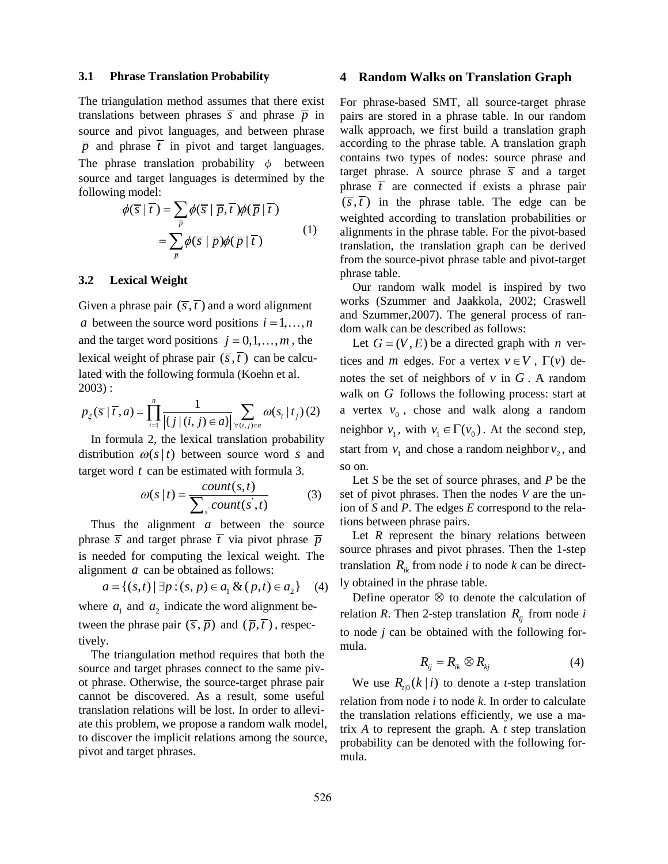#### **3.1 Phrase Translation Probability**

The triangulation method assumes that there exist translations between phrases  $\overline{s}$  and phrase  $\overline{p}$  in source and pivot languages, and between phrase  $\overline{p}$  and phrase  $\overline{t}$  in pivot and target languages. The phrase translation probability  $\phi$  between source and target languages is determined by the following model:

$$
\phi(\overline{s} | \overline{t}) = \sum_{\overline{p}} \phi(\overline{s} | \overline{p}, \overline{t}) \phi(\overline{p} | \overline{t})
$$

$$
= \sum_{\overline{p}} \phi(\overline{s} | \overline{p}) \phi(\overline{p} | \overline{t})
$$
(1)

#### **3.2 Lexical Weight**

Given a phrase pair  $(\overline{s}, \overline{t})$  and a word alignment *a* between the source word positions  $i = 1, \ldots, n$ and the target word positions  $j = 0, 1, \ldots, m$ , the lexical weight of phrase pair  $(\overline{s},\overline{t})$  can be calculated with the following formula (Koehn et al. 2003) :

$$
p_{\xi}(\overline{s} \mid \overline{t}, a) = \prod_{i=1}^{n} \frac{1}{\left| \{ j \mid (i, j) \in a \} \right|} \sum_{\forall (i, j) \in a} \omega(s_i \mid t_j) (2)
$$

In formula 2, the lexical translation probability distribution  $\omega(s|t)$  between source word *s* and target word *t* can be estimated with formula 3.

$$
\omega(s|t) = \frac{count(s,t)}{\sum_{s}count(s',t)}
$$
(3)

Thus the alignment *a* between the source phrase  $\overline{s}$  and target phrase  $\overline{t}$  via pivot phrase  $\overline{p}$ is needed for computing the lexical weight. The alignment *a* can be obtained as follows:

$$
a = \{(s, t) | \exists p : (s, p) \in a_1 \& (p, t) \in a_2\} \quad (4)
$$

where  $a_1$  and  $a_2$  indicate the word alignment between the phrase pair  $(\overline{s}, \overline{p})$  and  $(\overline{p}, \overline{t})$ , respectively.

The triangulation method requires that both the source and target phrases connect to the same pivot phrase. Otherwise, the source-target phrase pair cannot be discovered. As a result, some useful translation relations will be lost. In order to alleviate this problem, we propose a random walk model, to discover the implicit relations among the source, pivot and target phrases.

#### **4 Random Walks on Translation Graph**

For phrase-based SMT, all source-target phrase pairs are stored in a phrase table. In our random walk approach, we first build a translation graph according to the phrase table. A translation graph contains two types of nodes: source phrase and target phrase. A source phrase  $\overline{s}$  and a target phrase  $\overline{t}$  are connected if exists a phrase pair  $(\overline{s}, \overline{t})$  in the phrase table. The edge can be weighted according to translation probabilities or alignments in the phrase table. For the pivot-based translation, the translation graph can be derived from the source-pivot phrase table and pivot-target phrase table.

Our random walk model is inspired by two works (Szummer and Jaakkola, 2002; Craswell and Szummer,2007). The general process of random walk can be described as follows:

Let  $G = (V, E)$  be a directed graph with *n* vertices and *m* edges. For a vertex  $v \in V$ ,  $\Gamma(v)$  denotes the set of neighbors of  $v$  in  $G$ . A random walk on *G* follows the following process: start at a vertex  $v_0$ , chose and walk along a random neighbor  $v_1$ , with  $v_1 \in \Gamma(v_0)$ . At the second step, start from  $v_1$  and chose a random neighbor  $v_2$ , and so on.

Let *S* be the set of source phrases, and *P* be the set of pivot phrases. Then the nodes *V* are the union of *S* and *P*. The edges *E* correspond to the relations between phrase pairs.

Let *R* represent the binary relations between source phrases and pivot phrases. Then the 1-step translation  $R_{ik}$  from node *i* to node *k* can be directly obtained in the phrase table.

Define operator ⊗ to denote the calculation of relation *R*. Then 2-step translation  $R_{ii}$  from node *i* to node *j* can be obtained with the following formula.

$$
R_{ij} = R_{ik} \otimes R_{kj} \tag{4}
$$

We use  $R_{t}(\kappa | i)$  to denote a *t*-step translation relation from node *i* to node *k*. In order to calculate the translation relations efficiently, we use a matrix *A* to represent the graph. A *t* step translation probability can be denoted with the following formula.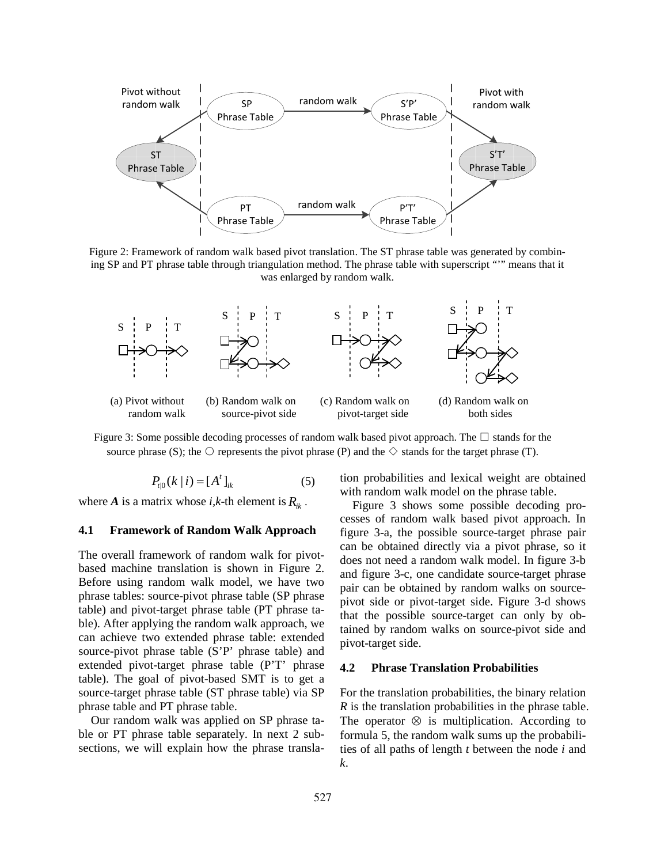

Figure 2: Framework of random walk based pivot translation. The ST phrase table was generated by combining SP and PT phrase table through triangulation method. The phrase table with superscript "'" means that it was enlarged by random walk.



Figure 3: Some possible decoding processes of random walk based pivot approach. The  $\square$  stands for the source phrase (S); the  $\circ$  represents the pivot phrase (P) and the  $\diamondsuit$  stands for the target phrase (T).

$$
P_{t|0}(k|i) = [A^t]_{ik}
$$
 (5)

where *A* is a matrix whose *i*, $k$ -th element is  $R_{ik}$ .

## **4.1 Framework of Random Walk Approach**

The overall framework of random walk for pivotbased machine translation is shown in Figure 2. Before using random walk model, we have two phrase tables: source-pivot phrase table (SP phrase table) and pivot-target phrase table (PT phrase table). After applying the random walk approach, we can achieve two extended phrase table: extended source-pivot phrase table (S'P' phrase table) and extended pivot-target phrase table (P'T' phrase table). The goal of pivot-based SMT is to get a source-target phrase table (ST phrase table) via SP phrase table and PT phrase table.

Our random walk was applied on SP phrase table or PT phrase table separately. In next 2 subsections, we will explain how the phrase translation probabilities and lexical weight are obtained with random walk model on the phrase table.

Figure 3 shows some possible decoding processes of random walk based pivot approach. In figure 3-a, the possible source-target phrase pair can be obtained directly via a pivot phrase, so it does not need a random walk model. In figure 3-b and figure 3-c, one candidate source-target phrase pair can be obtained by random walks on sourcepivot side or pivot-target side. Figure 3-d shows that the possible source-target can only by obtained by random walks on source-pivot side and pivot-target side.

#### **4.2 Phrase Translation Probabilities**

For the translation probabilities, the binary relation *R* is the translation probabilities in the phrase table. The operator  $\otimes$  is multiplication. According to formula 5, the random walk sums up the probabilities of all paths of length *t* between the node *i* and *k*.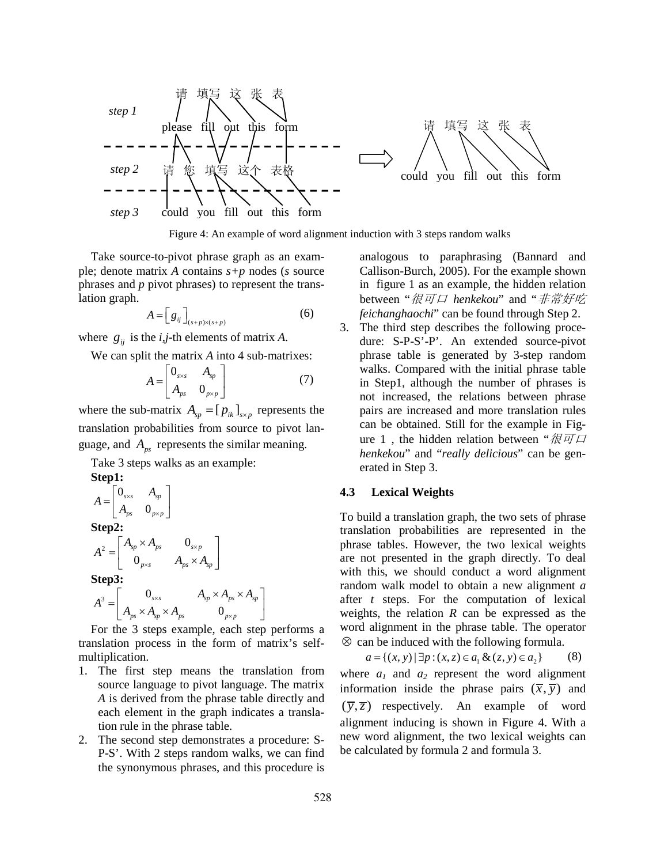

Figure 4: An example of word alignment induction with 3 steps random walks

Take source-to-pivot phrase graph as an example; denote matrix *A* contains *s+p* nodes (*s* source phrases and *p* pivot phrases) to represent the translation graph.

$$
A = \left[ g_{ij} \right]_{(s+p)\times (s+p)} \tag{6}
$$

where  $g_{ii}$  is the *i*,*j*-th elements of matrix *A*.

We can split the matrix *A* into 4 sub-matrixes:

$$
A = \begin{bmatrix} 0_{\scriptscriptstyle S\times S} & A_{\scriptscriptstyle SP} \\ A_{\scriptscriptstyle PS} & 0_{\scriptscriptstyle P\times P} \end{bmatrix} \tag{7}
$$

where the sub-matrix  $A_{sp} = [ p_{ik} ]_{s \times p}$  represents the translation probabilities from source to pivot language, and  $A_{ns}$  represents the similar meaning.

Take 3 steps walks as an example:

Step1:  
\n
$$
A = \begin{bmatrix} 0_{\mathit{ss}} & A_{\mathit{sp}} \\ A_{\mathit{ps}} & 0_{\mathit{psp}} \end{bmatrix}
$$
\nStep2:  
\n
$$
A^{2} = \begin{bmatrix} A_{\mathit{sp}} \times A_{\mathit{ps}} & 0_{\mathit{ssp}} \\ 0_{\mathit{pss}} & A_{\mathit{ps}} \times A_{\mathit{sp}} \end{bmatrix}
$$
\nStep3:  
\n
$$
A^{3} = \begin{bmatrix} 0_{\mathit{sss}} & A_{\mathit{sp}} \times A_{\mathit{ps}} \times A_{\mathit{ps}} \\ A_{\mathit{ps}} \times A_{\mathit{sp}} \times A_{\mathit{ps}} & 0_{\mathit{psp}} \end{bmatrix}
$$

For the 3 steps example, each step performs a translation process in the form of matrix's selfmultiplication.

 $p_s \wedge T_{sp} \wedge T_{ps}$   $\qquad \qquad \mathcal{O}_{p \times p}$ 

0

- 1. The first step means the translation from source language to pivot language. The matrix *A* is derived from the phrase table directly and each element in the graph indicates a translation rule in the phrase table.
- 2. The second step demonstrates a procedure: S-P-S'. With 2 steps random walks, we can find the synonymous phrases, and this procedure is

analogous to paraphrasing (Bannard and Callison-Burch, 2005). For the example shown in figure 1 as an example, the hidden relation between "很可口 *henkekou*" and "非常好吃 *feichanghaochi*" can be found through Step 2.

3. The third step describes the following procedure: S-P-S'-P'. An extended source-pivot phrase table is generated by 3-step random walks. Compared with the initial phrase table in Step1, although the number of phrases is not increased, the relations between phrase pairs are increased and more translation rules can be obtained. Still for the example in Figure 1, the hidden relation between " $\mathcal{R} \overline{\mathcal{F}} \mathcal{Q}$ *henkekou*" and "*really delicious*" can be generated in Step 3.

## **4.3 Lexical Weights**

To build a translation graph, the two sets of phrase translation probabilities are represented in the phrase tables. However, the two lexical weights are not presented in the graph directly. To deal with this, we should conduct a word alignment random walk model to obtain a new alignment *a* after *t* steps. For the computation of lexical weights, the relation *R* can be expressed as the word alignment in the phrase table. The operator ⊗ can be induced with the following formula.

$$
a = \{(x, y) | \exists p : (x, z) \in a_1 \& (z, y) \in a_2\}
$$
 (8)  
where  $a_1$  and  $a_2$  represent the word alignment  
information inside the phrase pairs  $(\overline{x}, \overline{y})$  and  
 $(\overline{y}, \overline{z})$  respectively. An example of word  
alignment inducing is shown in Figure 4. With a  
new word alignment, the two lexical weights can  
be calculated by formula 2 and formula 3.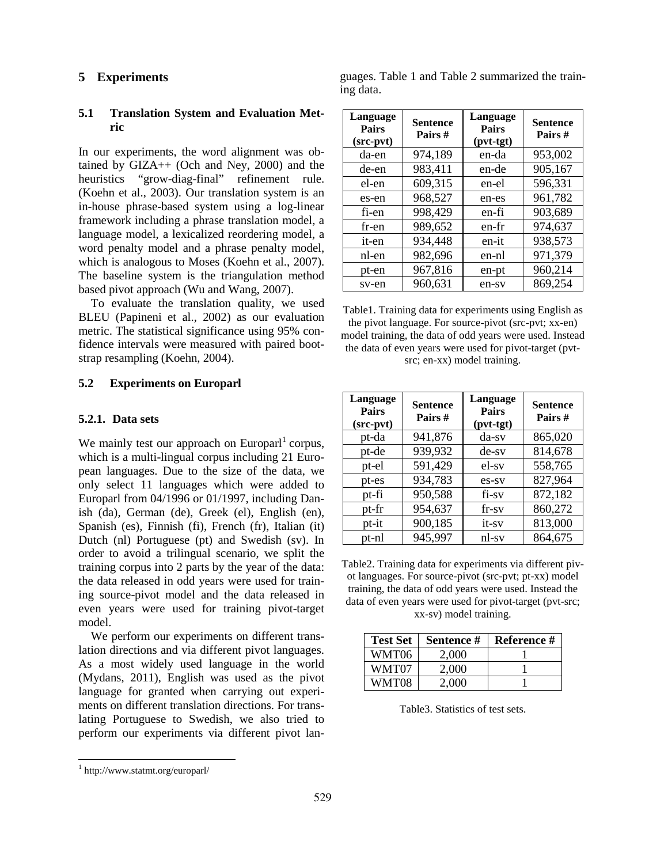# **5 Experiments**

# **5.1 Translation System and Evaluation Metric**

In our experiments, the word alignment was obtained by GIZA++ (Och and Ney, 2000) and the heuristics "grow-diag-final" refinement rule. (Koehn et al., 2003). Our translation system is an in-house phrase-based system using a log-linear framework including a phrase translation model, a language model, a lexicalized reordering model, a word penalty model and a phrase penalty model, which is analogous to Moses (Koehn et al., 2007). The baseline system is the triangulation method based pivot approach (Wu and Wang, 2007).

To evaluate the translation quality, we used BLEU (Papineni et al., 2002) as our evaluation metric. The statistical significance using 95% confidence intervals were measured with paired bootstrap resampling (Koehn, 2004).

## **5.2 Experiments on Europarl**

# **5.2.1. Data sets**

We mainly test our approach on  $\text{European}^1$  corpus, which is a multi-lingual corpus including 21 European languages. Due to the size of the data, we only select 11 languages which were added to Europarl from 04/1996 or 01/1997, including Danish (da), German (de), Greek (el), English (en), Spanish (es), Finnish (fi), French (fr), Italian (it) Dutch (nl) Portuguese (pt) and Swedish (sv). In order to avoid a trilingual scenario, we split the training corpus into 2 parts by the year of the data: the data released in odd years were used for training source-pivot model and the data released in even years were used for training pivot-target model.

We perform our experiments on different translation directions and via different pivot languages. As a most widely used language in the world (Mydans, 2011), English was used as the pivot language for granted when carrying out experiments on different translation directions. For translating Portuguese to Swedish, we also tried to perform our experiments via different pivot lan-

guages. Table 1 and Table 2 summarized the training data.

| Language<br><b>Pairs</b><br>(src-pvt) | <b>Sentence</b><br>Pairs # | Language<br><b>Pairs</b><br>(pvt-tgt) | <b>Sentence</b><br>Pairs# |
|---------------------------------------|----------------------------|---------------------------------------|---------------------------|
| da-en                                 | 974,189                    | en-da                                 | 953,002                   |
| de-en                                 | 983,411                    | en-de                                 | 905,167                   |
| el-en                                 | 609,315                    | en-el                                 | 596,331                   |
| es-en                                 | 968,527                    | en-es                                 | 961,782                   |
| fi-en                                 | 998,429                    | en-fi                                 | 903,689                   |
| fr-en                                 | 989,652                    | en-fr                                 | 974,637                   |
| it-en                                 | 934,448                    | en-it                                 | 938,573                   |
| nl-en                                 | 982,696                    | en-nl                                 | 971,379                   |
| pt-en                                 | 967,816                    | en-pt                                 | 960,214                   |
| sv-en                                 | 960,631                    | en-sv                                 | 869,254                   |

Table1. Training data for experiments using English as the pivot language. For source-pivot (src-pvt; xx-en) model training, the data of odd years were used. Instead the data of even years were used for pivot-target (pvtsrc; en-xx) model training.

| Language<br><b>Pairs</b><br>(src-pvt) | <b>Sentence</b><br>Pairs# | Language<br><b>Pairs</b><br>$(pvt-tgt)$ | <b>Sentence</b><br>Pairs# |
|---------------------------------------|---------------------------|-----------------------------------------|---------------------------|
| pt-da                                 | 941,876                   | $da$ -sv                                | 865,020                   |
| pt-de                                 | 939,932                   | $de-sv$                                 | 814,678                   |
| pt-el                                 | 591,429                   | el-sv                                   | 558,765                   |
| pt-es                                 | 934,783                   | es-sv                                   | 827,964                   |
| pt-fi                                 | 950,588                   | fi-sv                                   | 872,182                   |
| pt-fr                                 | 954,637                   | $fr-sv$                                 | 860,272                   |
| pt-it                                 | 900,185                   | it-sv                                   | 813,000                   |
| pt-nl                                 | 945,997                   | nl-sv                                   | 864,675                   |

Table2. Training data for experiments via different pivot languages. For source-pivot (src-pvt; pt-xx) model training, the data of odd years were used. Instead the data of even years were used for pivot-target (pvt-src; xx-sv) model training.

| <b>Test Set</b> | Sentence # | Reference # |
|-----------------|------------|-------------|
| WMT06           | 2,000      |             |
| WMT07           | 2,000      |             |
| WMT08           | 2,000      |             |

Table3. Statistics of test sets.

 <sup>1</sup> http://www.statmt.org/europarl/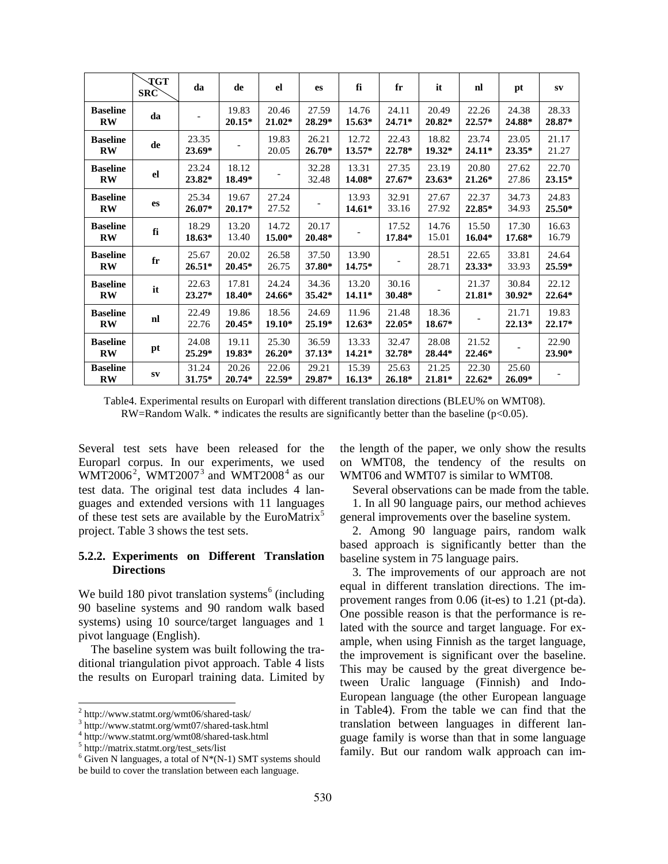|                                           | <b>TGT</b><br>SRC | da                | de                | el                | es                | fi                | fr              | it                | nl                | pt                | $S_{\bf V}$       |
|-------------------------------------------|-------------------|-------------------|-------------------|-------------------|-------------------|-------------------|-----------------|-------------------|-------------------|-------------------|-------------------|
| <b>Baseline</b><br>$\mathbf{R}\mathbf{W}$ | da                |                   | 19.83<br>$20.15*$ | 20.46<br>$21.02*$ | 27.59<br>28.29*   | 14.76<br>$15.63*$ | 24.11<br>24.71* | 20.49<br>20.82*   | 22.26<br>22.57*   | 24.38<br>24.88*   | 28.33<br>28.87*   |
| <b>Baseline</b><br>$\mathbf{R}\mathbf{W}$ | de                | 23.35<br>23.69*   |                   | 19.83<br>20.05    | 26.21<br>$26.70*$ | 12.72<br>$13.57*$ | 22.43<br>22.78* | 18.82<br>19.32*   | 23.74<br>24.11*   | 23.05<br>23.35*   | 21.17<br>21.27    |
| <b>Baseline</b><br>$\mathbf{R}\mathbf{W}$ | el                | 23.24<br>23.82*   | 18.12<br>18.49*   |                   | 32.28<br>32.48    | 13.31<br>14.08*   | 27.35<br>27.67* | 23.19<br>$23.63*$ | 20.80<br>21.26*   | 27.62<br>27.86    | 22.70<br>23.15*   |
| <b>Baseline</b><br>$\mathbf{R}\mathbf{W}$ | es                | 25.34<br>$26.07*$ | 19.67<br>$20.17*$ | 27.24<br>27.52    |                   | 13.93<br>$14.61*$ | 32.91<br>33.16  | 27.67<br>27.92    | 22.37<br>22.85*   | 34.73<br>34.93    | 24.83<br>25.50*   |
| <b>Baseline</b><br>$\mathbf{R}\mathbf{W}$ | fi                | 18.29<br>$18.63*$ | 13.20<br>13.40    | 14.72<br>15.00*   | 20.17<br>20.48*   |                   | 17.52<br>17.84* | 14.76<br>15.01    | 15.50<br>$16.04*$ | 17.30<br>17.68*   | 16.63<br>16.79    |
| <b>Baseline</b><br>$\mathbf{R}\mathbf{W}$ | $f_{\rm r}$       | 25.67<br>$26.51*$ | 20.02<br>$20.45*$ | 26.58<br>26.75    | 37.50<br>37.80*   | 13.90<br>$14.75*$ |                 | 28.51<br>28.71    | 22.65<br>$23.33*$ | 33.81<br>33.93    | 24.64<br>25.59*   |
| <b>Baseline</b><br>$\mathbf{R}\mathbf{W}$ | it                | 22.63<br>23.27*   | 17.81<br>18.40*   | 24.24<br>24.66*   | 34.36<br>$35.42*$ | 13.20<br>$14.11*$ | 30.16<br>30.48* |                   | 21.37<br>21.81*   | 30.84<br>$30.92*$ | 22.12<br>$22.64*$ |
| <b>Baseline</b><br>$\mathbf{R}\mathbf{W}$ | nl                | 22.49<br>22.76    | 19.86<br>$20.45*$ | 18.56<br>19.10*   | 24.69<br>25.19*   | 11.96<br>$12.63*$ | 21.48<br>22.05* | 18.36<br>18.67*   |                   | 21.71<br>$22.13*$ | 19.83<br>22.17*   |
| <b>Baseline</b><br>$\mathbf{R}\mathbf{W}$ | pt                | 24.08<br>25.29*   | 19.11<br>19.83*   | 25.30<br>$26.20*$ | 36.59<br>$37.13*$ | 13.33<br>$14.21*$ | 32.47<br>32.78* | 28.08<br>28.44*   | 21.52<br>22.46*   |                   | 22.90<br>23.90*   |
| <b>Baseline</b><br>$\mathbf{R}\mathbf{W}$ | ${\bf SV}$        | 31.24<br>31.75*   | 20.26<br>$20.74*$ | 22.06<br>22.59*   | 29.21<br>29.87*   | 15.39<br>$16.13*$ | 25.63<br>26.18* | 21.25<br>21.81*   | 22.30<br>22.62*   | 25.60<br>$26.09*$ |                   |

Table4. Experimental results on Europarl with different translation directions (BLEU% on WMT08). RW=Random Walk.  $*$  indicates the results are significantly better than the baseline ( $p<0.05$ ).

Several test sets have been released for the Europarl corpus. In our experiments, we used WMT2006<sup>2</sup>, WMT2007<sup>3</sup> and WMT2008<sup>4</sup> as our test data. The original test data includes 4 languages and extended versions with 11 languages of these test sets are available by the EuroMatrix<sup>5</sup> project. Table 3 shows the test sets.

## **5.2.2. Experiments on Different Translation Directions**

We build 180 pivot translation systems<sup>6</sup> (including 90 baseline systems and 90 random walk based systems) using 10 source/target languages and 1 pivot language (English).

The baseline system was built following the traditional triangulation pivot approach. Table 4 lists the results on Europarl training data. Limited by the length of the paper, we only show the results on WMT08, the tendency of the results on WMT06 and WMT07 is similar to WMT08.

Several observations can be made from the table. 1. In all 90 language pairs, our method achieves general improvements over the baseline system.

2. Among 90 language pairs, random walk based approach is significantly better than the baseline system in 75 language pairs.

3. The improvements of our approach are not equal in different translation directions. The improvement ranges from 0.06 (it-es) to 1.21 (pt-da). One possible reason is that the performance is related with the source and target language. For example, when using Finnish as the target language, the improvement is significant over the baseline. This may be caused by the great divergence between Uralic language (Finnish) and Indo-European language (the other European language in Table4). From the table we can find that the translation between languages in different language family is worse than that in some language family. But our random walk approach can im-

 $^2$ http://www.statmt.org/wmt06/shared-task.html $^3$ http://www.statmt.org/wmt08/shared-task.html $^4$ http://matrix.statmt.org/test\_sets/list

 $6$  Given N languages, a total of N\*(N-1) SMT systems should be build to cover the translation between each language.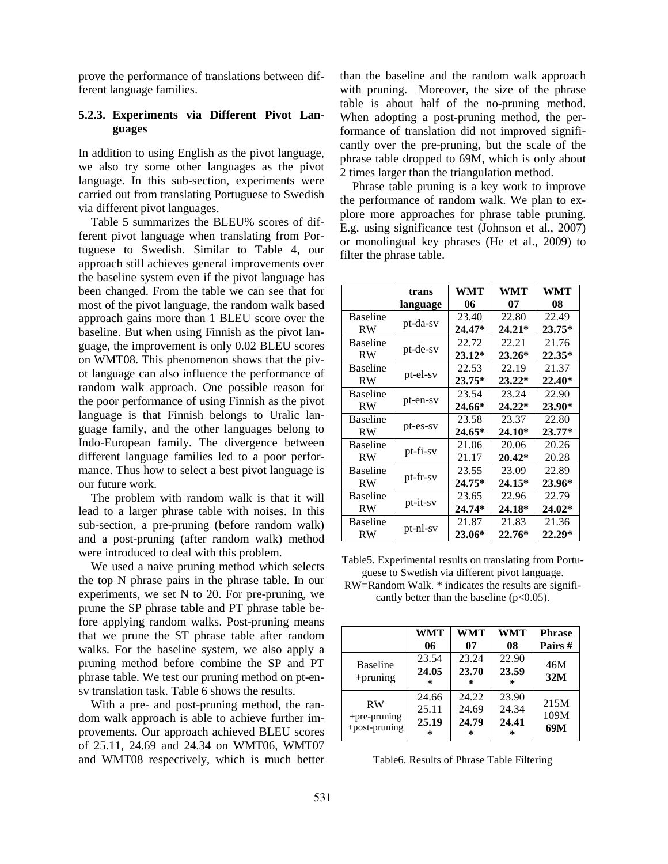prove the performance of translations between different language families.

# **5.2.3. Experiments via Different Pivot Languages**

In addition to using English as the pivot language, we also try some other languages as the pivot language. In this sub-section, experiments were carried out from translating Portuguese to Swedish via different pivot languages.

Table 5 summarizes the BLEU% scores of different pivot language when translating from Portuguese to Swedish. Similar to Table 4, our approach still achieves general improvements over the baseline system even if the pivot language has been changed. From the table we can see that for most of the pivot language, the random walk based approach gains more than 1 BLEU score over the baseline. But when using Finnish as the pivot language, the improvement is only 0.02 BLEU scores on WMT08. This phenomenon shows that the pivot language can also influence the performance of random walk approach. One possible reason for the poor performance of using Finnish as the pivot language is that Finnish belongs to Uralic language family, and the other languages belong to Indo-European family. The divergence between different language families led to a poor performance. Thus how to select a best pivot language is our future work.

The problem with random walk is that it will lead to a larger phrase table with noises. In this sub-section, a pre-pruning (before random walk) and a post-pruning (after random walk) method were introduced to deal with this problem.

We used a naive pruning method which selects the top N phrase pairs in the phrase table. In our experiments, we set N to 20. For pre-pruning, we prune the SP phrase table and PT phrase table before applying random walks. Post-pruning means that we prune the ST phrase table after random walks. For the baseline system, we also apply a pruning method before combine the SP and PT phrase table. We test our pruning method on pt-ensv translation task. Table 6 shows the results.

With a pre- and post-pruning method, the random walk approach is able to achieve further improvements. Our approach achieved BLEU scores of 25.11, 24.69 and 24.34 on WMT06, WMT07 and WMT08 respectively, which is much better than the baseline and the random walk approach with pruning. Moreover, the size of the phrase table is about half of the no-pruning method. When adopting a post-pruning method, the performance of translation did not improved significantly over the pre-pruning, but the scale of the phrase table dropped to 69M, which is only about 2 times larger than the triangulation method.

Phrase table pruning is a key work to improve the performance of random walk. We plan to explore more approaches for phrase table pruning. E.g. using significance test (Johnson et al., 2007) or monolingual key phrases (He et al., 2009) to filter the phrase table.

|                 | trans    | WMT      | WMT      | WMT      |
|-----------------|----------|----------|----------|----------|
|                 | language | 06       | 07       | 08       |
| <b>Baseline</b> | pt-da-sv | 23.40    | 22.80    | 22.49    |
| RW              |          | $24.47*$ | $24.21*$ | $23.75*$ |
| <b>Baseline</b> | pt-de-sv | 22.72    | 22.21    | 21.76    |
| RW              |          | $23.12*$ | 23.26*   | $22.35*$ |
| <b>Baseline</b> | pt-el-sv | 22.53    | 22.19    | 21.37    |
| RW              |          | $23.75*$ | $23.22*$ | $22.40*$ |
| Baseline        | pt-en-sv | 23.54    | 23.24    | 22.90    |
| RW              |          | 24.66*   | $24.22*$ | 23.90*   |
| <b>Baseline</b> | pt-es-sv | 23.58    | 23.37    | 22.80    |
| RW              |          | 24.65*   | 24.10*   | $23.77*$ |
| Baseline        | pt-fi-sv | 21.06    | 20.06    | 20.26    |
| RW              |          | 21.17    | 20.42*   | 20.28    |
| <b>Baseline</b> | pt-fr-sv | 23.55    | 23.09    | 22.89    |
| RW              |          | 24.75*   | $24.15*$ | 23.96*   |
| Baseline        | pt-it-sv | 23.65    | 22.96    | 22.79    |
| RW              |          | 24.74*   | 24.18*   | $24.02*$ |
| Baseline        | pt-nl-sv | 21.87    | 21.83    | 21.36    |
| RW              |          | 23.06*   | 22.76*   | 22.29*   |

Table5. Experimental results on translating from Portuguese to Swedish via different pivot language.

RW=Random Walk. \* indicates the results are significantly better than the baseline  $(p<0.05)$ .

|                                                  | <b>WMT</b><br>06             | <b>WMT</b><br>07                  | <b>WMT</b><br>08                  | <b>Phrase</b><br>Pairs # |
|--------------------------------------------------|------------------------------|-----------------------------------|-----------------------------------|--------------------------|
| <b>Baseline</b><br>$+$ pruning                   | 23.54<br>24.05<br>*          | 23.24<br>23.70<br>∗               | 22.90<br>23.59<br>$\ast$          | 46M<br>32M               |
| <b>RW</b><br>$+$ pre-pruning<br>$+$ post-pruning | 24.66<br>25.11<br>25.19<br>∗ | 24.22<br>24.69<br>24.79<br>$\ast$ | 23.90<br>24.34<br>24.41<br>$\ast$ | 215M<br>109M<br>69M      |

Table6. Results of Phrase Table Filtering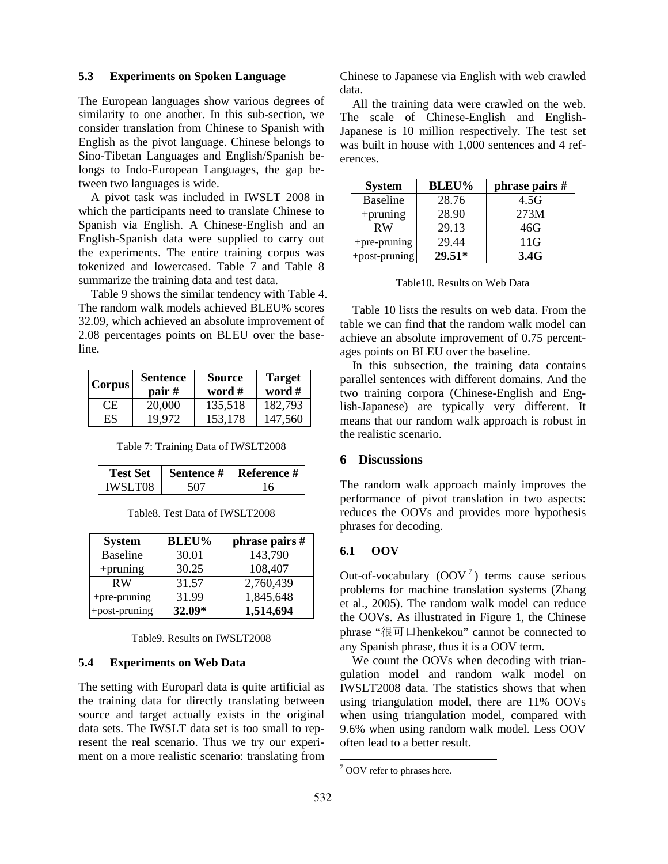#### **5.3 Experiments on Spoken Language**

The European languages show various degrees of similarity to one another. In this sub-section, we consider translation from Chinese to Spanish with English as the pivot language. Chinese belongs to Sino-Tibetan Languages and English/Spanish belongs to Indo-European Languages, the gap between two languages is wide.

A pivot task was included in IWSLT 2008 in which the participants need to translate Chinese to Spanish via English. A Chinese-English and an English-Spanish data were supplied to carry out the experiments. The entire training corpus was tokenized and lowercased. Table 7 and Table 8 summarize the training data and test data.

Table 9 shows the similar tendency with Table 4. The random walk models achieved BLEU% scores 32.09, which achieved an absolute improvement of 2.08 percentages points on BLEU over the baseline.

| Corpus | <b>Sentence</b><br>pair # | <b>Source</b><br>word # | <b>Target</b><br>word # |
|--------|---------------------------|-------------------------|-------------------------|
| CE.    | 20,000                    | 135,518                 | 182,793                 |
| ES     | 19.972                    | 153,178                 | 147,560                 |

|  | Table 7: Training Data of IWSLT2008 |  |  |  |
|--|-------------------------------------|--|--|--|
|--|-------------------------------------|--|--|--|

|          | Sentence # | <b>Reference #</b> |
|----------|------------|--------------------|
| IWSI T08 |            |                    |

| Table8. Test Data of IWSLT2008 |  |  |  |
|--------------------------------|--|--|--|
|--------------------------------|--|--|--|

| <b>System</b>   | <b>BLEU%</b> | phrase pairs # |
|-----------------|--------------|----------------|
| <b>Baseline</b> | 30.01        | 143,790        |
| $+$ pruning     | 30.25        | 108,407        |
| <b>RW</b>       | 31.57        | 2,760,439      |
| $+$ pre-pruning | 31.99        | 1,845,648      |
| +post-pruning   | $32.09*$     | 1,514,694      |

Table9. Results on IWSLT2008

# **5.4 Experiments on Web Data**

The setting with Europarl data is quite artificial as the training data for directly translating between source and target actually exists in the original data sets. The IWSLT data set is too small to represent the real scenario. Thus we try our experiment on a more realistic scenario: translating from Chinese to Japanese via English with web crawled data.

All the training data were crawled on the web. The scale of Chinese-English and English-Japanese is 10 million respectively. The test set was built in house with 1,000 sentences and 4 references.

| <b>System</b>   | <b>BLEU%</b> | phrase pairs # |
|-----------------|--------------|----------------|
| <b>Baseline</b> | 28.76        | 4.5G           |
| $+$ pruning     | 28.90        | 273M           |
| <b>RW</b>       | 29.13        | 46G            |
| +pre-pruning    | 29.44        | 11G            |
| +post-pruning   | $29.51*$     | 3.4G           |

Table 10 lists the results on web data. From the table we can find that the random walk model can achieve an absolute improvement of 0.75 percentages points on BLEU over the baseline.

In this subsection, the training data contains parallel sentences with different domains. And the two training corpora (Chinese-English and English-Japanese) are typically very different. It means that our random walk approach is robust in the realistic scenario.

#### **6 Discussions**

The random walk approach mainly improves the performance of pivot translation in two aspects: reduces the OOVs and provides more hypothesis phrases for decoding.

## **6.1 OOV**

Out-of-vocabulary  $(OOV<sup>7</sup>)$  terms cause serious problems for machine translation systems (Zhang et al., 2005). The random walk model can reduce the OOVs. As illustrated in Figure 1, the Chinese phrase "很可口henkekou" cannot be connected to any Spanish phrase, thus it is a OOV term.

We count the OOVs when decoding with triangulation model and random walk model on IWSLT2008 data. The statistics shows that when using triangulation model, there are 11% OOVs when using triangulation model, compared with 9.6% when using random walk model. Less OOV often lead to a better result.

 $7$  OOV refer to phrases here.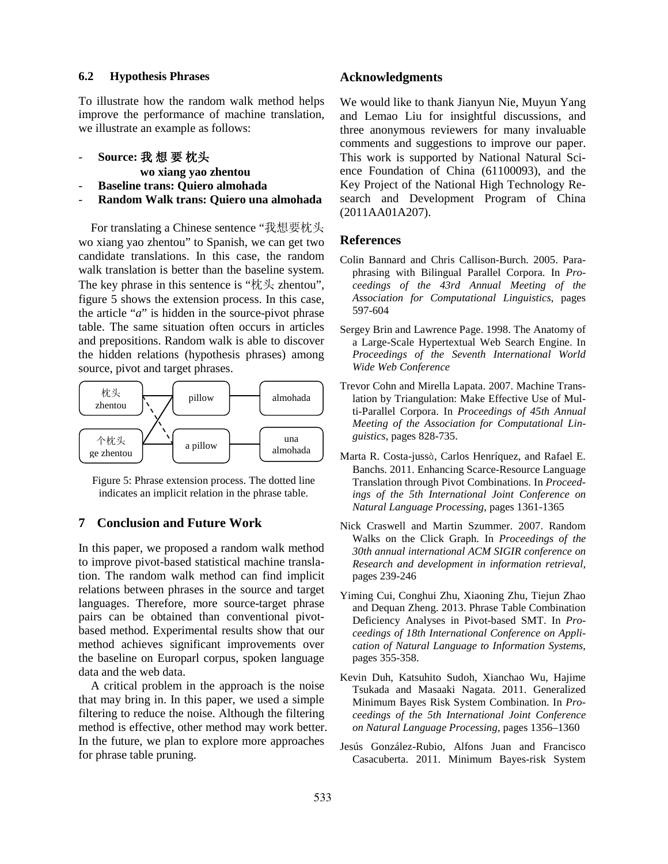#### **6.2 Hypothesis Phrases**

To illustrate how the random walk method helps improve the performance of machine translation, we illustrate an example as follows:

- **Source:** 我 想 要 枕头

 **wo xiang yao zhentou**

- **Baseline trans: Quiero almohada**
- **Random Walk trans: Quiero una almohada**

For translating a Chinese sentence "我想要枕头 wo xiang yao zhentou" to Spanish, we can get two candidate translations. In this case, the random walk translation is better than the baseline system. The key phrase in this sentence is "枕头 zhentou", figure 5 shows the extension process. In this case, the article "*a*" is hidden in the source-pivot phrase table. The same situation often occurs in articles and prepositions. Random walk is able to discover the hidden relations (hypothesis phrases) among source, pivot and target phrases.



Figure 5: Phrase extension process. The dotted line indicates an implicit relation in the phrase table.

## **7 Conclusion and Future Work**

In this paper, we proposed a random walk method to improve pivot-based statistical machine translation. The random walk method can find implicit relations between phrases in the source and target languages. Therefore, more source-target phrase pairs can be obtained than conventional pivotbased method. Experimental results show that our method achieves significant improvements over the baseline on Europarl corpus, spoken language data and the web data.

A critical problem in the approach is the noise that may bring in. In this paper, we used a simple filtering to reduce the noise. Although the filtering method is effective, other method may work better. In the future, we plan to explore more approaches for phrase table pruning.

## **Acknowledgments**

We would like to thank Jianyun Nie, Muyun Yang and Lemao Liu for insightful discussions, and three anonymous reviewers for many invaluable comments and suggestions to improve our paper. This work is supported by National Natural Science Foundation of China (61100093), and the Key Project of the National High Technology Research and Development Program of China (2011AA01A207).

## **References**

- Colin Bannard and Chris Callison-Burch. 2005. Paraphrasing with Bilingual Parallel Corpora. In *Proceedings of the 43rd Annual Meeting of the Association for Computational Linguistics*, pages 597-604
- Sergey Brin and Lawrence Page. 1998. The Anatomy of a Large-Scale Hypertextual Web Search Engine. In *Proceedings of the Seventh International World Wide Web Conference*
- Trevor Cohn and Mirella Lapata. 2007. Machine Translation by Triangulation: Make Effective Use of Multi-Parallel Corpora. In *Proceedings of 45th Annual Meeting of the Association for Computational Linguistics*, pages 828-735.
- Marta R. Costa-jussà, Carlos Henríquez, and Rafael E. Banchs. 2011. Enhancing Scarce-Resource Language Translation through Pivot Combinations. In *Proceedings of the 5th International Joint Conference on Natural Language Processing*, pages 1361-1365
- Nick Craswell and Martin Szummer. 2007. Random Walks on the Click Graph. In *Proceedings of the 30th annual international ACM SIGIR conference on Research and development in information retrieval,*  pages 239-246
- Yiming Cui, Conghui Zhu, Xiaoning Zhu, Tiejun Zhao and Dequan Zheng. 2013. Phrase Table Combination Deficiency Analyses in Pivot-based SMT. In *Proceedings of 18th International Conference on Application of Natural Language to Information Systems,* pages 355-358.
- Kevin Duh, Katsuhito Sudoh, Xianchao Wu, Hajime Tsukada and Masaaki Nagata. 2011. Generalized Minimum Bayes Risk System Combination. In *Proceedings of the 5th International Joint Conference on Natural Language Processing*, pages 1356–1360
- Jesús González-Rubio, Alfons Juan and Francisco Casacuberta. 2011. Minimum Bayes-risk System